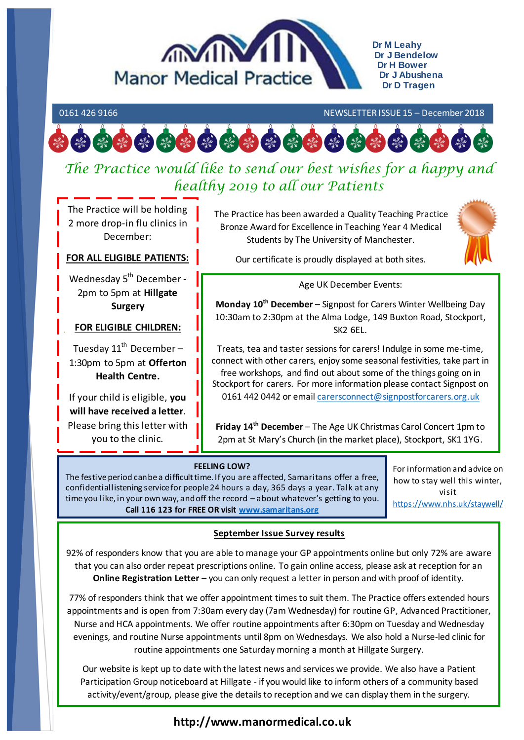

**Dr M Leahy Dr J Bendelow Dr H Bower Dr J Abushena Dr D Tragen**

#### 0161 426 9166 NEWSLETTER ISSUE 15 – December 2018



# *The Practice would like to send our best wishes for a happy and healthy 2019 to all our Patients*

The Practice will be holding 2 more drop-in flu clinics in December:

#### **FOR ALL ELIGIBLE PATIENTS:**

Wednesday 5<sup>th</sup> December -2pm to 5pm at **Hillgate Surgery**

#### **FOR ELIGIBLE CHILDREN:**

Tuesday  $11^{th}$  December -1:30pm to 5pm at **Offerton Health Centre.**

If your child is eligible, **you will have received a letter**. Please bring this letter with you to the clinic.

The Practice has been awarded a Quality Teaching Practice Bronze Award for Excellence in Teaching Year 4 Medical Students by The University of Manchester.



Our certificate is proudly displayed at both sites.

#### Age UK December Events:

**Monday 10th December** – Signpost for Carers Winter Wellbeing Day 10:30am to 2:30pm at the Alma Lodge, 149 Buxton Road, Stockport, SK2 6EL.

Treats, tea and taster sessions for carers! Indulge in some me-time, connect with other carers, enjoy some seasonal festivities, take part in free workshops, and find out about some of the things going on in Stockport for carers. For more information please contact Signpost on 0161 442 0442 or email [carersconnect@signpostforcarers.org.uk](mailto:carersconnect@signpostforcarers.org.uk)

**Friday 14th December** – The Age UK Christmas Carol Concert 1pm to 2pm at St Mary's Church (in the market place), Stockport, SK1 1YG.

#### **FEELING LOW?**

The festive period can be a difficult time. If you are affected, Samaritans offer a free, confidential listening service for people 24 hours a day, 365 days a year. Talk at any time you like, in your own way, and off the record – about whatever's getting to you. **Call 116 123 for FREE OR visi[t www.samaritans.org](http://www.samaritans.org/)**

For information and advice on how to stay well this winter, visit <https://www.nhs.uk/staywell/>

### **September Issue Survey results**

92% of responders know that you are able to manage your GP appointments online but only 72% are aware that you can also order repeat prescriptions online. To gain online access, please ask at reception for an **Online Registration Letter** – you can only request a letter in person and with proof of identity.

77% of responders think that we offer appointment times to suit them. The Practice offers extended hours appointments and is open from 7:30am every day (7am Wednesday) for routine GP, Advanced Practitioner, Nurse and HCA appointments. We offer routine appointments after 6:30pm on Tuesday and Wednesday evenings, and routine Nurse appointments until 8pm on Wednesdays. We also hold a Nurse-led clinic for routine appointments one Saturday morning a month at Hillgate Surgery.

Our website is kept up to date with the latest news and services we provide. We also have a Patient Participation Group noticeboard at Hillgate - if you would like to inform others of a community based activity/event/group, please give the details to reception and we can display them in the surgery.

# **http://www.manormedical.co.uk**